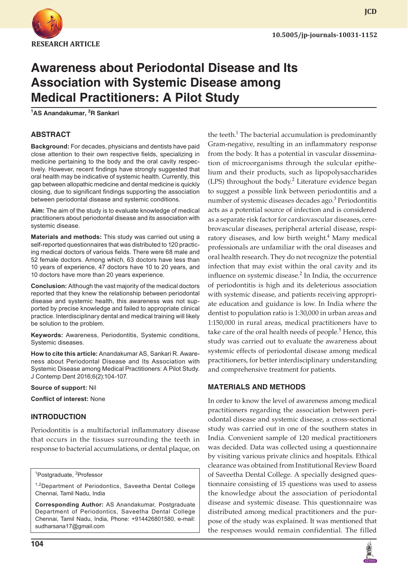

**JCD**

# **Awareness about Periodontal Disease and Its Association with Systemic Disease among Medical Practitioners: A Pilot Study**

**1 AS Anandakumar, <sup>2</sup> R Sankari**

# **ABSTRACT**

**Background:** For decades, physicians and dentists have paid close attention to their own respective fields, specializing in medicine pertaining to the body and the oral cavity respectively. However, recent findings have strongly suggested that oral health may be indicative of systemic health. Currently, this gap between allopathic medicine and dental medicine is quickly closing, due to significant findings supporting the association between periodontal disease and systemic conditions.

**Aim:** The aim of the study is to evaluate knowledge of medical practitioners about periodontal disease and its association with systemic disease.

**Materials and methods:** This study was carried out using a self-reported questionnaires that was distributed to 120 practicing medical doctors of various fields. There were 68 male and 52 female doctors. Among which, 63 doctors have less than 10 years of experience, 47 doctors have 10 to 20 years, and 10 doctors have more than 20 years experience.

**Conclusion:** Although the vast majority of the medical doctors reported that they knew the relationship between periodontal disease and systemic health, this awareness was not supported by precise knowledge and failed to appropriate clinical practice. Interdisciplinary dental and medical training will likely be solution to the problem.

**Keywords:** Awareness, Periodontitis, Systemic conditions, Systemic diseases.

**How to cite this article:** Anandakumar AS, Sankari R. Awareness about Periodontal Disease and Its Association with Systemic Disease among Medical Practitioners: A Pilot Study. J Contemp Dent 2016;6(2):104-107.

#### **Source of support:** Nil

**Conflict of interest:** None

# **INTRODUCTION**

Periodontitis is a multifactorial inflammatory disease that occurs in the tissues surrounding the teeth in response to bacterial accumulations, or dental plaque, on

<sup>1</sup>Postgraduate, <sup>2</sup>Professor

<sup>1,2</sup>Department of Periodontics, Saveetha Dental College Chennai, Tamil Nadu, India

**Corresponding Author:** AS Anandakumar, Postgraduate Department of Periodontics, Saveetha Dental College Chennai, Tamil Nadu, India, Phone: +914426801580, e-mail: sudharsana17@gmail.com

**104**

the teeth.<sup>1</sup> The bacterial accumulation is predominantly Gram-negative, resulting in an inflammatory response from the body. It has a potential in vascular dissemination of microorganisms through the sulcular epithelium and their products, such as lipopolysaccharides (LPS) throughout the body.<sup>2</sup> Literature evidence began to suggest a possible link between periodontitis and a number of systemic diseases decades ago.<sup>3</sup> Periodontitis acts as a potential source of infection and is considered as a separate risk factor for cardiovascular diseases, cerebrovascular diseases, peripheral arterial disease, respiratory diseases, and low birth weight.<sup>4</sup> Many medical professionals are unfamiliar with the oral diseases and oral health research. They do not recognize the potential infection that may exist within the oral cavity and its influence on systemic disease.<sup>2</sup> In India, the occurrence of periodontitis is high and its deleterious association with systemic disease, and patients receiving appropriate education and guidance is low. In India where the dentist to population ratio is 1:30,000 in urban areas and 1:150,000 in rural areas, medical practitioners have to take care of the oral health needs of people.<sup>5</sup> Hence, this study was carried out to evaluate the awareness about systemic effects of periodontal disease among medical practitioners, for better interdisciplinary understanding and comprehensive treatment for patients.

# **MATERIALS AND METHODS**

In order to know the level of awareness among medical practitioners regarding the association between periodontal disease and systemic disease, a cross-sectional study was carried out in one of the southern states in India. Convenient sample of 120 medical practitioners was decided. Data was collected using a questionnaire by visiting various private clinics and hospitals. Ethical clearance was obtained from Institutional Review Board of Saveetha Dental College. A specially designed questionnaire consisting of 15 questions was used to assess the knowledge about the association of periodontal disease and systemic disease. This questionnaire was distributed among medical practitioners and the purpose of the study was explained. It was mentioned that the responses would remain confidential. The filled

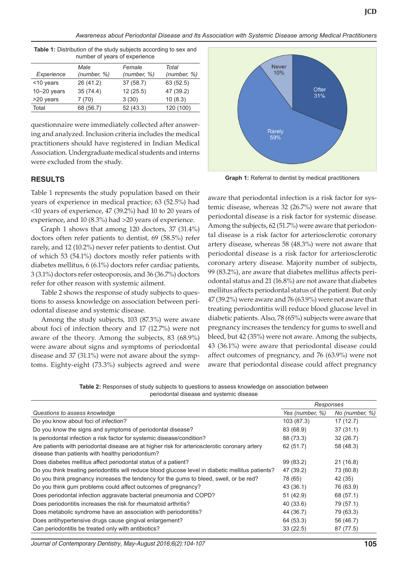*Awareness about Periodontal Disease and Its Association with Systemic Disease among Medical Practitioners*

| number of years of experience |             |             |             |  |
|-------------------------------|-------------|-------------|-------------|--|
|                               | Male        | Female      | Total       |  |
| Experience                    | (number, %) | (number, %) | (number, %) |  |
| <10 years                     | 26 (41.2)   | 37(58.7)    | 63 (52.5)   |  |
| $10-20$ years                 | 35(74.4)    | 12(25.5)    | 47 (39.2)   |  |
| >20 years                     | 7(70)       | 3(30)       | 10(8.3)     |  |
| Total                         | 68 (56.7)   | 52(43.3)    | 120 (100)   |  |

**Table 1:** Distribution of the study subjects according to sex and

questionnaire were immediately collected after answering and analyzed. Inclusion criteria includes the medical practitioners should have registered in Indian Medical Association. Undergraduate medical students and interns were excluded from the study.

# **RESULTS**

Table 1 represents the study population based on their years of experience in medical practice; 63 (52.5%) had <10 years of experience, 47 (39.2%) had 10 to 20 years of experience, and 10 (8.3%) had >20 years of experience.

Graph 1 shows that among 120 doctors, 37 (31.4%) doctors often refer patients to dentist, 69 (58.5%) refer rarely, and 12 (10.2%) never refer patients to dentist. Out of which 53 (54.1%) doctors mostly refer patients with diabetes mellitus, 6 (6.1%) doctors refer cardiac patients, 3 (3.1%) doctors refer osteoporosis, and 36 (36.7%) doctors refer for other reason with systemic ailment.

Table 2 shows the response of study subjects to questions to assess knowledge on association between periodontal disease and systemic disease.

Among the study subjects, 103 (87.3%) were aware about foci of infection theory and 17 (12.7%) were not aware of the theory. Among the subjects, 83 (68.9%) were aware about signs and symptoms of periodontal disease and 37 (31.1%) were not aware about the symptoms. Eighty-eight (73.3%) subjects agreed and were



**JCD**

**Graph 1:** Referral to dentist by medical practitioners

aware that periodontal infection is a risk factor for systemic disease, whereas 32 (26.7%) were not aware that periodontal disease is a risk factor for systemic disease. Among the subjects, 62 (51.7%) were aware that periodontal disease is a risk factor for arteriosclerotic coronary artery disease, whereas 58 (48.3%) were not aware that periodontal disease is a risk factor for arteriosclerotic coronary artery disease. Majority number of subjects, 99 (83.2%), are aware that diabetes mellitus affects periodontal status and 21 (16.8%) are not aware that diabetes mellitus affects periodontal status of the patient. But only 47 (39.2%) were aware and 76 (63.9%) were not aware that treating periodontitis will reduce blood glucose level in diabetic patients. Also, 78 (65%) subjects were aware that pregnancy increases the tendency for gums to swell and bleed, but 42 (35%) were not aware. Among the subjects, 43 (36.1%) were aware that periodontal disease could affect outcomes of pregnancy, and 76 (63.9%) were not aware that periodontal disease could affect pregnancy

**Table 2:** Responses of study subjects to questions to assess knowledge on association between periodontal disease and systemic disease

|                                                                                                                                                   | Responses       |                |
|---------------------------------------------------------------------------------------------------------------------------------------------------|-----------------|----------------|
| Questions to assess knowledge                                                                                                                     | Yes (number, %) | No (number, %) |
| Do you know about foci of infection?                                                                                                              | 103 (87.3)      | 17(12.7)       |
| Do you know the signs and symptoms of periodontal disease?                                                                                        | 83 (68.9)       | 37(31.1)       |
| Is periodontal infection a risk factor for systemic disease/condition?                                                                            | 88 (73.3)       | 32(26.7)       |
| Are patients with periodontal disease are at higher risk for arteriosclerotic coronary artery<br>disease than patients with healthy periodontium? | 62 (51.7)       | 58 (48.3)      |
| Does diabetes mellitus affect periodontal status of a patient?                                                                                    | 99 (83.2)       | 21(16.8)       |
| Do you think treating periodontitis will reduce blood glucose level in diabetic mellitus patients?                                                | 47 (39.2)       | 73 (60.8)      |
| Do you think pregnancy increases the tendency for the gums to bleed, swell, or be red?                                                            | 78 (65)         | 42 (35)        |
| Do you think gum problems could affect outcomes of pregnancy?                                                                                     | 43 (36.1)       | 76 (63.9)      |
| Does periodontal infection aggravate bacterial pneumonia and COPD?                                                                                | 51 (42.9)       | 68 (57.1)      |
| Does periodontitis increases the risk for rheumatoid arthritis?                                                                                   | 40 (33.6)       | 79 (57.1)      |
| Does metabolic syndrome have an association with periodontitis?                                                                                   | 44 (36.7)       | 79 (63.3)      |
| Does antihypertensive drugs cause gingival enlargement?                                                                                           | 64 (53.3)       | 56 (46.7)      |
| Can periodontitis be treated only with antibiotics?                                                                                               | 33(22.5)        | 87 (77.5)      |

*Journal of Contemporary Dentistry, May-August 2016;6(2):104-107* **105**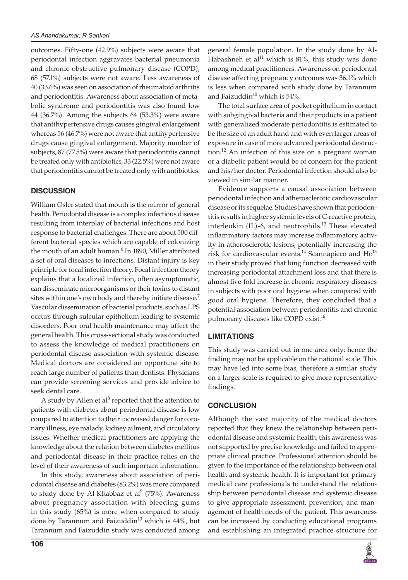outcomes. Fifty-one (42.9%) subjects were aware that periodontal infection aggravates bacterial pneumonia and chronic obstructive pulmonary disease (COPD), 68 (57.1%) subjects were not aware. Less awareness of 40 (33.6%) was seen on association of rheumatoid arthritis and periodontitis. Awareness about association of metabolic syndrome and periodontitis was also found low 44 (36.7%). Among the subjects 64 (53.3%) were aware that antihypertensive drugs causes gingival enlargement whereas 56 (46.7%) were not aware that antihypertensive drugs cause gingival enlargement. Majority number of subjects, 87 (77.5%) were aware that periodontitis cannot be treated only with antibiotics, 33 (22.5%) were not aware that periodontitis cannot be treated only with antibiotics.

#### **DISCUSSION**

William Osler stated that mouth is the mirror of general health. Periodontal disease is a complex infectious disease resulting from interplay of bacterial infections and host response to bacterial challenges. There are about 500 different bacterial species which are capable of colonizing the mouth of an adult human.<sup>6</sup> In 1890, Miller attributed a set of oral diseases to infections. Distant injury is key principle for focal infection theory. Focal infection theory explains that a localized infection, often asymptomatic, can disseminate microorganisms or their toxins to distant sites within one's own body and thereby initiate disease.<sup>7</sup> Vascular dissemination of bacterial products, such as LPS occurs through sulcular epithelium leading to systemic disorders. Poor oral health maintenance may affect the general health. This cross-sectional study was conducted to assess the knowledge of medical practitioners on periodontal disease association with systemic disease. Medical doctors are considered an opportune site to reach large number of patients than dentists. Physicians can provide screening services and provide advice to seek dental care.

A study by Allen et al<sup>8</sup> reported that the attention to patients with diabetes about periodontal disease is low compared to attention to their increased danger for coronary illness, eye malady, kidney ailment, and circulatory issues. Whether medical practitioners are applying the knowledge about the relation between diabetes mellitus and periodontal disease in their practice relies on the level of their awareness of such important information.

In this study, awareness about association of periodontal disease and diabetes (83.2%) was more compared to study done by Al-Khabbaz et al $9$  (75%). Awareness about pregnancy association with bleeding gums in this study (65%) is more when compared to study done by Tarannum and Faizuddin $^{10}$  which is 44%, but Tarannum and Faizuddin study was conducted among

The total surface area of pocket epithelium in contact with subgingival bacteria and their products in a patient with generalized moderate periodontitis is estimated to be the size of an adult hand and with even larger areas of exposure in case of more advanced periodontal destruction.<sup>12</sup> An infection of this size on a pregnant woman or a diabetic patient would be of concern for the patient and his/her doctor. Periodontal infection should also be viewed in similar manner.

Evidence supports a causal association between periodontal infection and atherosclerotic cardiovascular disease or its sequelae. Studies have shown that periodontitis results in higher systemic levels of C-reactive protein, interleukin (IL)-6, and neutrophils.<sup>13</sup> These elevated inflammatory factors may increase inflammatory activity in atherosclerotic lesions, potentially increasing the risk for cardiovascular events.<sup>14</sup> Scannapieco and  $Ho^{15}$ in their study proved that lung function decreased with increasing periodontal attachment loss and that there is almost five-fold increase in chronic respiratory diseases in subjects with poor oral hygiene when compared with good oral hygiene. Therefore, they concluded that a potential association between periodontitis and chronic pulmonary diseases like COPD exist.16

#### **LIMITATIONS**

This study was carried out in one area only; hence the finding may not be applicable on the national scale. This may have led into some bias, therefore a similar study on a larger scale is required to give more representative findings.

#### **CONCLUSION**

Although the vast majority of the medical doctors reported that they knew the relationship between periodontal disease and systemic health, this awareness was not supported by precise knowledge and failed to appropriate clinical practice. Professional attention should be given to the importance of the relationship between oral health and systemic health. It is important for primary medical care professionals to understand the relationship between periodontal disease and systemic disease to give appropriate assessment, prevention, and management of health needs of the patient. This awareness can be increased by conducting educational programs and establishing an integrated practice structure for